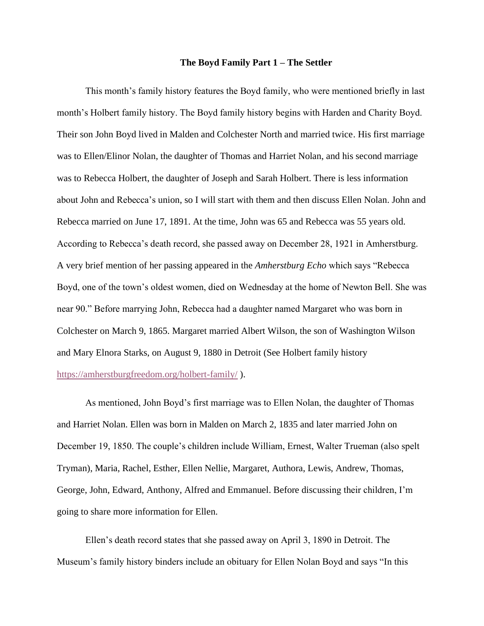## **The Boyd Family Part 1 – The Settler**

This month's family history features the Boyd family, who were mentioned briefly in last month's Holbert family history. The Boyd family history begins with Harden and Charity Boyd. Their son John Boyd lived in Malden and Colchester North and married twice. His first marriage was to Ellen/Elinor Nolan, the daughter of Thomas and Harriet Nolan, and his second marriage was to Rebecca Holbert, the daughter of Joseph and Sarah Holbert. There is less information about John and Rebecca's union, so I will start with them and then discuss Ellen Nolan. John and Rebecca married on June 17, 1891. At the time, John was 65 and Rebecca was 55 years old. According to Rebecca's death record, she passed away on December 28, 1921 in Amherstburg. A very brief mention of her passing appeared in the *Amherstburg Echo* which says "Rebecca Boyd, one of the town's oldest women, died on Wednesday at the home of Newton Bell. She was near 90." Before marrying John, Rebecca had a daughter named Margaret who was born in Colchester on March 9, 1865. Margaret married Albert Wilson, the son of Washington Wilson and Mary Elnora Starks, on August 9, 1880 in Detroit (See Holbert family history [https://amherstburgfreedom.org/holbert-family/](https://amherstburgfreedom.org/holbert-family/?fbclid=IwAR090Lj-dhn-KlMZ4xEdyokzqGAMmv3iZzJ0ur14VpKWJzBxjophlEHwBoo) ).

As mentioned, John Boyd's first marriage was to Ellen Nolan, the daughter of Thomas and Harriet Nolan. Ellen was born in Malden on March 2, 1835 and later married John on December 19, 1850. The couple's children include William, Ernest, Walter Trueman (also spelt Tryman), Maria, Rachel, Esther, Ellen Nellie, Margaret, Authora, Lewis, Andrew, Thomas, George, John, Edward, Anthony, Alfred and Emmanuel. Before discussing their children, I'm going to share more information for Ellen.

Ellen's death record states that she passed away on April 3, 1890 in Detroit. The Museum's family history binders include an obituary for Ellen Nolan Boyd and says "In this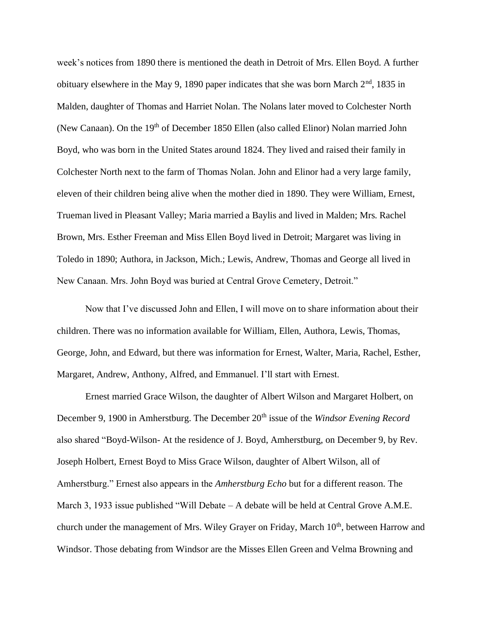week's notices from 1890 there is mentioned the death in Detroit of Mrs. Ellen Boyd. A further obituary elsewhere in the May 9, 1890 paper indicates that she was born March  $2<sup>nd</sup>$ , 1835 in Malden, daughter of Thomas and Harriet Nolan. The Nolans later moved to Colchester North (New Canaan). On the 19<sup>th</sup> of December 1850 Ellen (also called Elinor) Nolan married John Boyd, who was born in the United States around 1824. They lived and raised their family in Colchester North next to the farm of Thomas Nolan. John and Elinor had a very large family, eleven of their children being alive when the mother died in 1890. They were William, Ernest, Trueman lived in Pleasant Valley; Maria married a Baylis and lived in Malden; Mrs. Rachel Brown, Mrs. Esther Freeman and Miss Ellen Boyd lived in Detroit; Margaret was living in Toledo in 1890; Authora, in Jackson, Mich.; Lewis, Andrew, Thomas and George all lived in New Canaan. Mrs. John Boyd was buried at Central Grove Cemetery, Detroit."

Now that I've discussed John and Ellen, I will move on to share information about their children. There was no information available for William, Ellen, Authora, Lewis, Thomas, George, John, and Edward, but there was information for Ernest, Walter, Maria, Rachel, Esther, Margaret, Andrew, Anthony, Alfred, and Emmanuel. I'll start with Ernest.

Ernest married Grace Wilson, the daughter of Albert Wilson and Margaret Holbert, on December 9, 1900 in Amherstburg. The December 20<sup>th</sup> issue of the *Windsor Evening Record* also shared "Boyd-Wilson- At the residence of J. Boyd, Amherstburg, on December 9, by Rev. Joseph Holbert, Ernest Boyd to Miss Grace Wilson, daughter of Albert Wilson, all of Amherstburg." Ernest also appears in the *Amherstburg Echo* but for a different reason. The March 3, 1933 issue published "Will Debate – A debate will be held at Central Grove A.M.E. church under the management of Mrs. Wiley Grayer on Friday, March 10<sup>th</sup>, between Harrow and Windsor. Those debating from Windsor are the Misses Ellen Green and Velma Browning and